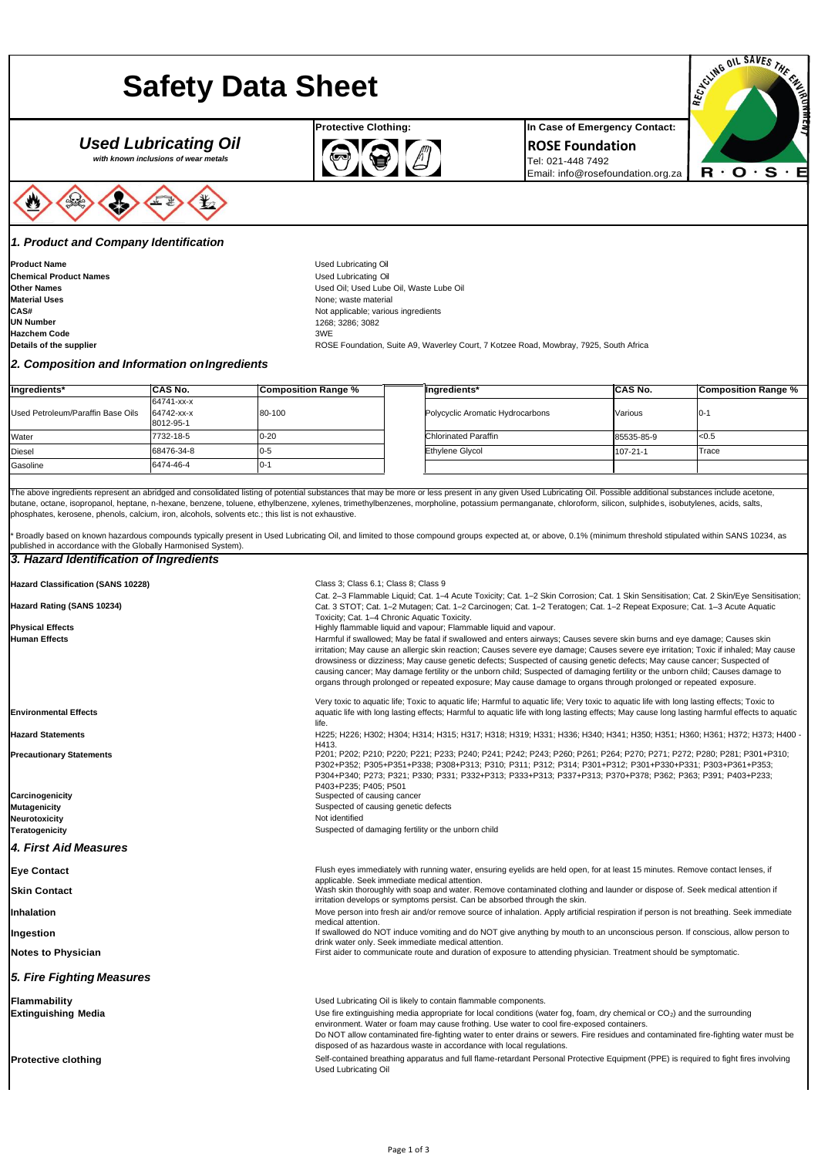# **Safety Data Sheet**

# *Used Lubricating Oil*

*with known inclusions of wear metals*



#### *1. Product and Company Identification*

**Product Name Chemical Product Names Other Names Material Uses CAS# UN Number Hazchem Code**



**ROSE Foundation** Tel: 021-448 7492 Email[: info@rosefoundation.org.za](mailto:info@rosefoundation.org.za)



Used Lubricating Oil Used Lubricating Oil Used Oil; Used Lube Oil, Waste Lube Oil None; waste material Not applicable; various ingredients 1268; 3286; 3082 3WE

ROSE Foundation, Suite A9, Waverley Court, 7 Kotzee Road, Mowbray, 7925, South Africa

**Details of the supplier**

### *2. Composition and Information onIngredients*

| Ingredients*                      | <b>CAS No.</b>          | <b>Composition Range %</b> | Ingredients*                     | <b>CAS No.</b> | <b>Composition Range %</b> |
|-----------------------------------|-------------------------|----------------------------|----------------------------------|----------------|----------------------------|
|                                   | 64741-xx-x              |                            |                                  |                |                            |
| Used Petroleum/Paraffin Base Oils | 64742-xx-x<br>8012-95-1 | 80-100                     | Polycyclic Aromatic Hydrocarbons | Various        | $0 - 1$                    |
| Water                             | 7732-18-5               | $0 - 20$                   | <b>Chlorinated Paraffin</b>      | 85535-85-9     | < 0.5                      |
| <b>Diesel</b>                     | 68476-34-8              | $0 - 5$                    | <b>Ethylene Givcol</b>           | 107-21-1       | Trace                      |
| Gasoline                          | 6474-46-4               | .-0I                       |                                  |                |                            |

The above ingredients represent an abridged and consolidated listing of potential substances that may be more or less present in any given Used Lubricating Oil. Possible additional substances include acetone, butane, octane, isopropanol, heptane, n-hexane, benzene, toluene, ethylbenzene, xylenes, trimethylbenzenes, morpholine, potassium permanganate, chloroform, silicon, sulphides, isobutylenes, acids, salts, phosphates, kerosene, phenols, calcium, iron, alcohols, solvents etc.; this list is not exhaustive.

Broadly based on known hazardous compounds typically present in Used Lubricating Oil, and limited to those compound groups expected at, or above, 0.1% (minimum threshold stipulated within SANS 10234, as published in accordance with the Globally Harmonised System).

#### *3. Hazard Identification of Ingredients*

| <b>Hazard Classification (SANS 10228)</b> | Class 3; Class 6.1; Class 8; Class 9                                                                                                                                                                                                                                                                                                                                                                                                                                                                                                                                                                                                                 |
|-------------------------------------------|------------------------------------------------------------------------------------------------------------------------------------------------------------------------------------------------------------------------------------------------------------------------------------------------------------------------------------------------------------------------------------------------------------------------------------------------------------------------------------------------------------------------------------------------------------------------------------------------------------------------------------------------------|
| Hazard Rating (SANS 10234)                | Cat. 2-3 Flammable Liquid; Cat. 1-4 Acute Toxicity; Cat. 1-2 Skin Corrosion; Cat. 1 Skin Sensitisation; Cat. 2 Skin/Eye Sensitisation;<br>Cat. 3 STOT; Cat. 1-2 Mutagen; Cat. 1-2 Carcinogen; Cat. 1-2 Teratogen; Cat. 1-2 Repeat Exposure; Cat. 1-3 Acute Aquatic<br>Toxicity; Cat. 1-4 Chronic Aquatic Toxicity.                                                                                                                                                                                                                                                                                                                                   |
| <b>Physical Effects</b>                   | Highly flammable liquid and vapour; Flammable liquid and vapour.                                                                                                                                                                                                                                                                                                                                                                                                                                                                                                                                                                                     |
| <b>Human Effects</b>                      | Harmful if swallowed; May be fatal if swallowed and enters airways; Causes severe skin burns and eye damage; Causes skin<br>irritation; May cause an allergic skin reaction; Causes severe eye damage; Causes severe eye irritation; Toxic if inhaled; May cause<br>drowsiness or dizziness; May cause genetic defects; Suspected of causing genetic defects; May cause cancer; Suspected of<br>causing cancer; May damage fertility or the unborn child; Suspected of damaging fertility or the unborn child; Causes damage to<br>organs through prolonged or repeated exposure; May cause damage to organs through prolonged or repeated exposure. |
| <b>Environmental Effects</b>              | Very toxic to aquatic life; Toxic to aquatic life; Harmful to aquatic life; Very toxic to aquatic life with long lasting effects; Toxic to<br>aquatic life with long lasting effects; Harmful to aquatic life with long lasting effects; May cause long lasting harmful effects to aquatic<br>life.                                                                                                                                                                                                                                                                                                                                                  |
| <b>Hazard Statements</b>                  | H225; H226; H302; H304; H314; H315; H317; H318; H319; H331; H336; H340; H341; H350; H351; H360; H361; H372; H373; H400 -<br>H413.                                                                                                                                                                                                                                                                                                                                                                                                                                                                                                                    |
| <b>Precautionary Statements</b>           | P201; P202; P210; P220; P221; P233; P240; P241; P242; P243; P260; P261; P264; P270; P271; P272; P280; P281; P301+P310;<br>P302+P352; P305+P351+P338; P308+P313; P310; P311; P312; P314; P301+P312; P301+P330+P331; P303+P361+P353;<br>P304+P340; P273; P321; P330; P331; P332+P313; P333+P313; P337+P313; P370+P378; P362; P363; P391; P403+P233;<br>P403+P235: P405: P501                                                                                                                                                                                                                                                                           |
| Carcinogenicity                           | Suspected of causing cancer                                                                                                                                                                                                                                                                                                                                                                                                                                                                                                                                                                                                                          |
| <b>Mutagenicity</b>                       | Suspected of causing genetic defects                                                                                                                                                                                                                                                                                                                                                                                                                                                                                                                                                                                                                 |
| Neurotoxicity                             | Not identified                                                                                                                                                                                                                                                                                                                                                                                                                                                                                                                                                                                                                                       |
| <b>Teratogenicity</b>                     | Suspected of damaging fertility or the unborn child                                                                                                                                                                                                                                                                                                                                                                                                                                                                                                                                                                                                  |
| 4. First Aid Measures                     |                                                                                                                                                                                                                                                                                                                                                                                                                                                                                                                                                                                                                                                      |
| <b>Eve Contact</b>                        | Flush eyes immediately with running water, ensuring eyelids are held open, for at least 15 minutes. Remove contact lenses, if<br>applicable. Seek immediate medical attention.                                                                                                                                                                                                                                                                                                                                                                                                                                                                       |
| <b>Skin Contact</b>                       | Wash skin thoroughly with soap and water. Remove contaminated clothing and launder or dispose of. Seek medical attention if<br>irritation develops or symptoms persist. Can be absorbed through the skin.                                                                                                                                                                                                                                                                                                                                                                                                                                            |
| <b>Inhalation</b>                         | Move person into fresh air and/or remove source of inhalation. Apply artificial respiration if person is not breathing. Seek immediate<br>medical attention.                                                                                                                                                                                                                                                                                                                                                                                                                                                                                         |
| Ingestion                                 | If swallowed do NOT induce vomiting and do NOT give anything by mouth to an unconscious person. If conscious, allow person to<br>drink water only. Seek immediate medical attention.                                                                                                                                                                                                                                                                                                                                                                                                                                                                 |
| Notes to Physician                        | First aider to communicate route and duration of exposure to attending physician. Treatment should be symptomatic.                                                                                                                                                                                                                                                                                                                                                                                                                                                                                                                                   |
| 5. Fire Fighting Measures                 |                                                                                                                                                                                                                                                                                                                                                                                                                                                                                                                                                                                                                                                      |
| Flammability                              | Used Lubricating Oil is likely to contain flammable components.                                                                                                                                                                                                                                                                                                                                                                                                                                                                                                                                                                                      |
| <b>Extinguishing Media</b>                | Use fire extinguishing media appropriate for local conditions (water fog, foam, dry chemical or $CO2$ ) and the surrounding<br>environment. Water or foam may cause frothing. Use water to cool fire-exposed containers.<br>Do NOT allow contaminated fire-fighting water to enter drains or sewers. Fire residues and contaminated fire-fighting water must be<br>disposed of as hazardous waste in accordance with local regulations.                                                                                                                                                                                                              |
| <b>Protective clothing</b>                | Self-contained breathing apparatus and full flame-retardant Personal Protective Equipment (PPE) is required to fight fires involving<br><b>Used Lubricating Oil</b>                                                                                                                                                                                                                                                                                                                                                                                                                                                                                  |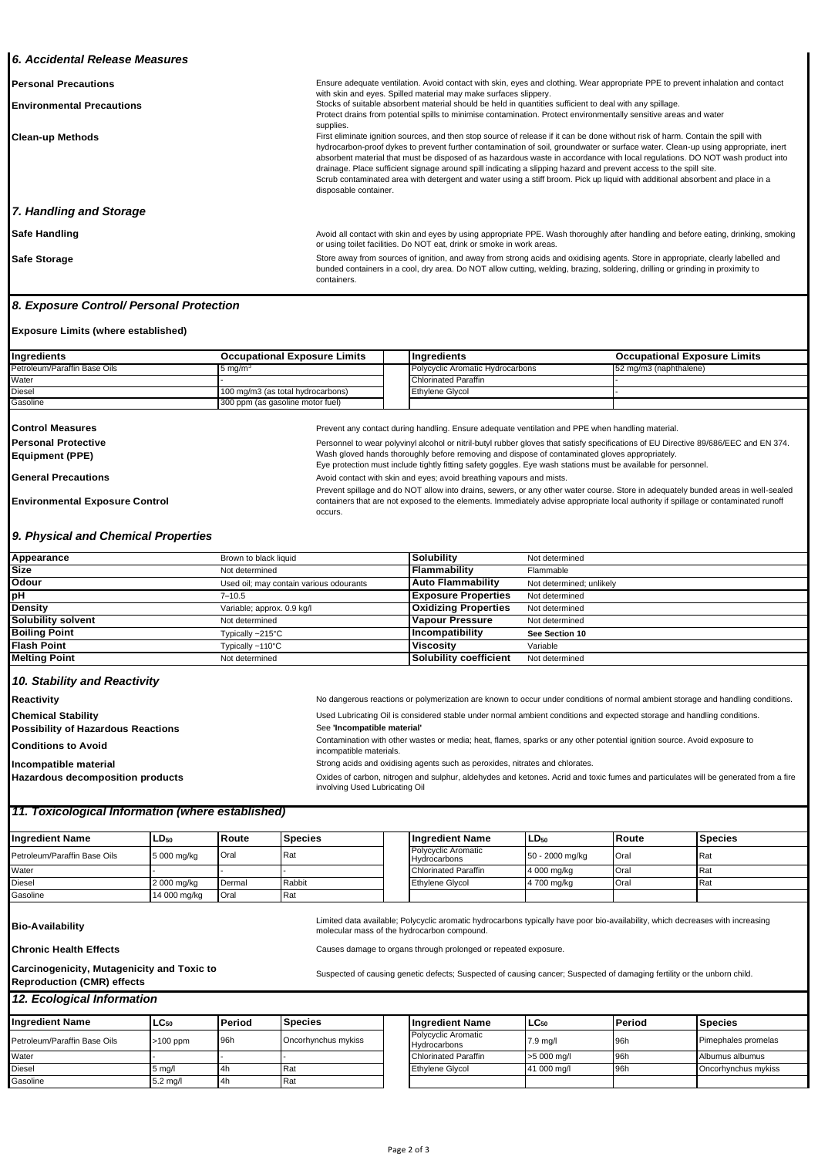#### *6. Accidental Release Measures*

| <b>Personal Precautions</b>      | Ensure adequate ventilation. Avoid contact with skin, eyes and clothing. Wear appropriate PPE to prevent inhalation and contact<br>with skin and eyes. Spilled material may make surfaces slippery.                                                                                                                                                                                                                                                                                                                                                                                                                                                                                    |
|----------------------------------|----------------------------------------------------------------------------------------------------------------------------------------------------------------------------------------------------------------------------------------------------------------------------------------------------------------------------------------------------------------------------------------------------------------------------------------------------------------------------------------------------------------------------------------------------------------------------------------------------------------------------------------------------------------------------------------|
| <b>Environmental Precautions</b> | Stocks of suitable absorbent material should be held in quantities sufficient to deal with any spillage.                                                                                                                                                                                                                                                                                                                                                                                                                                                                                                                                                                               |
|                                  | Protect drains from potential spills to minimise contamination. Protect environmentally sensitive areas and water<br>supplies.                                                                                                                                                                                                                                                                                                                                                                                                                                                                                                                                                         |
| <b>Clean-up Methods</b>          | First eliminate ignition sources, and then stop source of release if it can be done without risk of harm. Contain the spill with<br>hydrocarbon-proof dykes to prevent further contamination of soil, groundwater or surface water. Clean-up using appropriate, inert<br>absorbent material that must be disposed of as hazardous waste in accordance with local regulations. DO NOT wash product into<br>drainage. Place sufficient signage around spill indicating a slipping hazard and prevent access to the spill site.<br>Scrub contaminated area with detergent and water using a stiff broom. Pick up liquid with additional absorbent and place in a<br>disposable container. |
| 7. Handling and Storage          |                                                                                                                                                                                                                                                                                                                                                                                                                                                                                                                                                                                                                                                                                        |
| Safe Handling                    | Avoid all contact with skin and eyes by using appropriate PPE. Wash thoroughly after handling and before eating, drinking, smoking<br>or using toilet facilities. Do NOT eat, drink or smoke in work areas.                                                                                                                                                                                                                                                                                                                                                                                                                                                                            |
| <b>Safe Storage</b>              | Store away from sources of ignition, and away from strong acids and oxidising agents. Store in appropriate, clearly labelled and<br>bunded containers in a cool, dry area. Do NOT allow cutting, welding, brazing, soldering, drilling or grinding in proximity to                                                                                                                                                                                                                                                                                                                                                                                                                     |

containers.

occurs.

#### *8. Exposure Control/ Personal Protection*

#### **Exposure Limits (where established)**

| Ingredients                  | <b>Occupational Exposure Limits</b> | <b>Indredients</b>                      | <b>Occupational Exposure Limits</b> |
|------------------------------|-------------------------------------|-----------------------------------------|-------------------------------------|
| Petroleum/Paraffin Base Oils | $-5$ ma/m                           | <b>Polycyclic Aromatic Hydrocarbons</b> | 52 mg/m3 (naphthalene)              |
| Water                        |                                     | Chlorinated Paraffin                    |                                     |
| <b>Diesel</b>                | 100 mg/m3 (as total hydrocarbons)   | <b>Ethylene Glycol</b>                  |                                     |
| Gasoline                     | 300 ppm (as gasoline motor fuel)    |                                         |                                     |

| <b>Control Measures</b>    | Prevent any contact  |
|----------------------------|----------------------|
| <b>Personal Protective</b> | Personnel to wear po |
| Equipment (PPE)            | Wash gloved hands    |
|                            | Eye protection must  |

during handling. Ensure adequate ventilation and PPE when handling material.

plyvinyl alcohol or nitril-butyl rubber gloves that satisfy specifications of EU Directive 89/686/EEC and EN 374. thoroughly before removing and dispose of contaminated gloves appropriately.

containers that are not exposed to the elements. Immediately advise appropriate local authority if spillage or contaminated runoff

include tightly fitting safety goggles. Eye wash stations must be available for personnel.

General Precautions **Avoid contact with skin and eyes**; avoid breathing vapours and mists. Prevent spillage and do NOT allow into drains, sewers, or any other water course. Store in adequately bunded areas in well-sealed

**Environmental Exposure Control**

#### *9. Physical and Chemical Properties*

| Appearance           | Brown to black liquid                   | Solubility                  | Not determined           |
|----------------------|-----------------------------------------|-----------------------------|--------------------------|
| <b>Size</b>          | Not determined                          | Flammability                | Flammable                |
| Odour                | Used oil; may contain various odourants | <b>Auto Flammability</b>    | Not determined; unlikely |
| рH                   | $7 - 10.5$                              | <b>Exposure Properties</b>  | Not determined           |
| Density              | Variable; approx. 0.9 kg/l              | <b>Oxidizing Properties</b> | Not determined           |
| Solubility solvent   | Not determined                          | <b>Vapour Pressure</b>      | Not determined           |
| <b>Boiling Point</b> | Typically ~215°C                        | Incompatibility             | See Section 10           |
| Flash Point          | Typically ~110°C                        | <b>Viscosity</b>            | Variable                 |
| <b>Melting Point</b> | Not determined                          | Solubility coefficient      | Not determined           |
|                      |                                         |                             |                          |

# *10. Stability and Reactivity*

**Reactivity Chemical Stability Possibility of Hazardous Reactions Conditions to Avoid Incompatible material Hazardous decomposition products** No dangerous reactions or polymerization are known to occur under conditions of normal ambient storage and handling conditions. Used Lubricating Oil is considered stable under normal ambient conditions and expected storage and handling conditions. See **'Incompatible material'** Contamination with other wastes or media; heat, flames, sparks or any other potential ignition source. Avoid exposure to incompatible materials. Strong acids and oxidising agents such as peroxides, nitrates and chlorates. Oxides of carbon, nitrogen and sulphur, aldehydes and ketones. Acrid and toxic fumes and particulates will be generated from a fire involving Used Lubricating Oil

### *11. Toxicological Information (where established)*

| <b>Ingredient Name</b>       | $LD_{50}$    | l Route | <b>Species</b> | l Ingredient Name                          | $LD_{50}$       | l Route | <b>Species</b> |
|------------------------------|--------------|---------|----------------|--------------------------------------------|-----------------|---------|----------------|
| Petroleum/Paraffin Base Oils | 5 000 mg/kg  | Oral    | Rat            | <b>Polycyclic Aromatic</b><br>Hydrocarbons | 50 - 2000 mg/kg | Oral    | Rat            |
| Water                        |              |         |                | Chlorinated Paraffin                       | 4 000 mg/kg     | Oral    | <b>IRat</b>    |
| <b>Diesel</b>                | 2 000 mg/kg  | Dermal  | Rabbit         | <b>Ethvlene Glvcol</b>                     | 4 700 mg/kg     | Oral    | Rat            |
| Gasoline                     | 14 000 mg/kg | Oral    | Rat            |                                            |                 |         |                |

**Bio-Availability** 

**Chronic Health Effects**

Limited data available; Polycyclic aromatic hydrocarbons typically have poor bio-availability, which decreases with increasing molecular mass of the hydrocarbon compound.

Causes damage to organs through prolonged or repeated exposure.

#### **Carcinogenicity, Mutagenicity and Toxic to Reproduction (CMR) effects**

Suspected of causing genetic defects; Suspected of causing cancer; Suspected of damaging fertility or the unborn child.

*12. Ecological Information*

| <b>Ingredient Name</b>       | $LC_{50}$          | Period | <b>Species</b>      | <b>Ingredient Name</b>                     | $LC_{50}$   | Period | <b>Species</b>             |
|------------------------------|--------------------|--------|---------------------|--------------------------------------------|-------------|--------|----------------------------|
| Petroleum/Paraffin Base Oils | $>100$ ppm         | 96h    | Oncorhynchus mykiss | <b>Polycyclic Aromatic</b><br>Hydrocarbons | 7.9 mg/l    | 96h    | Pimephales promelas        |
| Water                        |                    |        |                     | Chlorinated Paraffin                       | >5 000 mg/l | 96h    | Albumus albumus            |
| <b>Diesel</b>                | $5 \text{ mg}$     | 4h     | Rat                 | <b>Ethylene Glycol</b>                     | 41 000 mg/l | 96h    | <b>Oncorhynchus mykiss</b> |
| Gasoline                     | $5.2 \text{ ma/l}$ | $-4h$  | <b>Rat</b>          |                                            |             |        |                            |